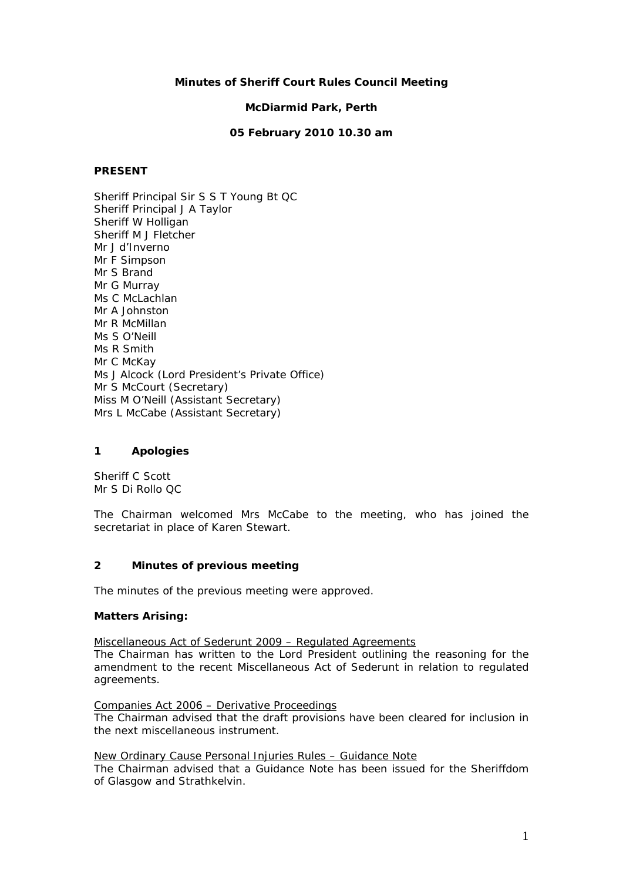## **Minutes of Sheriff Court Rules Council Meeting**

#### **McDiarmid Park, Perth**

#### **05 February 2010 10.30 am**

## **PRESENT**

Sheriff Principal Sir S S T Young Bt QC Sheriff Principal J A Taylor Sheriff W Holligan Sheriff M J Fletcher Mr J d'Inverno Mr F Simpson Mr S Brand Mr G Murray Ms C McLachlan Mr A Johnston Mr R McMillan Ms S O'Neill Ms R Smith Mr C McKay Ms J Alcock (Lord President's Private Office) Mr S McCourt (Secretary) Miss M O'Neill (Assistant Secretary) Mrs L McCabe (Assistant Secretary)

## **1 Apologies**

Sheriff C Scott Mr S Di Rollo QC

The Chairman welcomed Mrs McCabe to the meeting, who has joined the secretariat in place of Karen Stewart.

## **2 Minutes of previous meeting**

The minutes of the previous meeting were approved.

## **Matters Arising:**

Miscellaneous Act of Sederunt 2009 – Regulated Agreements

The Chairman has written to the Lord President outlining the reasoning for the amendment to the recent Miscellaneous Act of Sederunt in relation to regulated agreements.

#### Companies Act 2006 – Derivative Proceedings

The Chairman advised that the draft provisions have been cleared for inclusion in the next miscellaneous instrument.

New Ordinary Cause Personal Injuries Rules – Guidance Note

The Chairman advised that a Guidance Note has been issued for the Sheriffdom of Glasgow and Strathkelvin.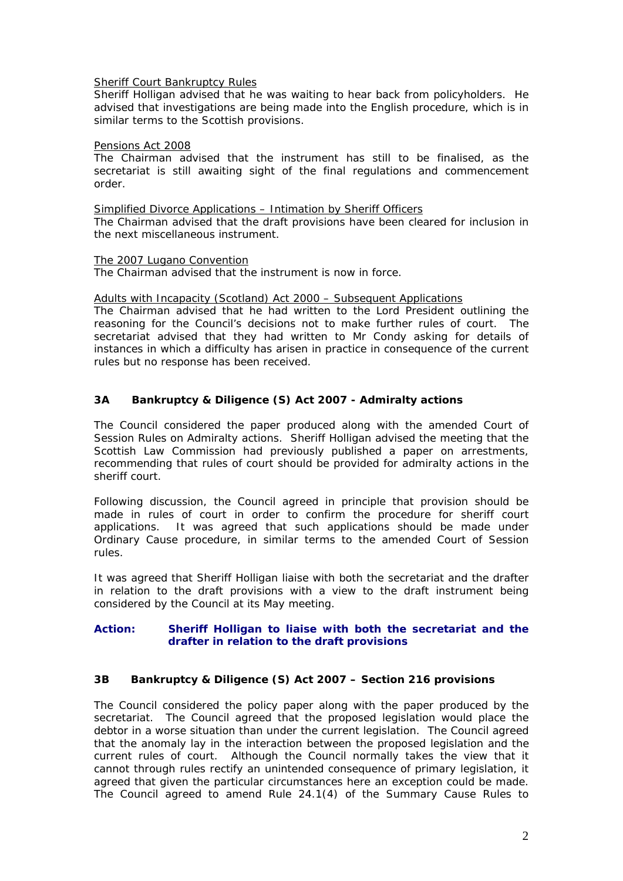#### Sheriff Court Bankruptcy Rules

Sheriff Holligan advised that he was waiting to hear back from policyholders. He advised that investigations are being made into the English procedure, which is in similar terms to the Scottish provisions.

#### Pensions Act 2008

The Chairman advised that the instrument has still to be finalised, as the secretariat is still awaiting sight of the final regulations and commencement order.

Simplified Divorce Applications – Intimation by Sheriff Officers The Chairman advised that the draft provisions have been cleared for inclusion in the next miscellaneous instrument.

#### The 2007 Lugano Convention

The Chairman advised that the instrument is now in force.

Adults with Incapacity (Scotland) Act 2000 – Subsequent Applications

The Chairman advised that he had written to the Lord President outlining the reasoning for the Council's decisions not to make further rules of court. The secretariat advised that they had written to Mr Condy asking for details of instances in which a difficulty has arisen in practice in consequence of the current rules but no response has been received.

# **3A Bankruptcy & Diligence (S) Act 2007 - Admiralty actions**

The Council considered the paper produced along with the amended Court of Session Rules on Admiralty actions. Sheriff Holligan advised the meeting that the Scottish Law Commission had previously published a paper on arrestments, recommending that rules of court should be provided for admiralty actions in the sheriff court.

Following discussion, the Council agreed in principle that provision should be made in rules of court in order to confirm the procedure for sheriff court applications. It was agreed that such applications should be made under Ordinary Cause procedure, in similar terms to the amended Court of Session rules.

It was agreed that Sheriff Holligan liaise with both the secretariat and the drafter in relation to the draft provisions with a view to the draft instrument being considered by the Council at its May meeting.

# **Action: Sheriff Holligan to liaise with both the secretariat and the drafter in relation to the draft provisions**

## **3B Bankruptcy & Diligence (S) Act 2007 – Section 216 provisions**

The Council considered the policy paper along with the paper produced by the secretariat. The Council agreed that the proposed legislation would place the debtor in a worse situation than under the current legislation. The Council agreed that the anomaly lay in the interaction between the proposed legislation and the current rules of court. Although the Council normally takes the view that it cannot through rules rectify an unintended consequence of primary legislation, it agreed that given the particular circumstances here an exception could be made. The Council agreed to amend Rule 24.1(4) of the Summary Cause Rules to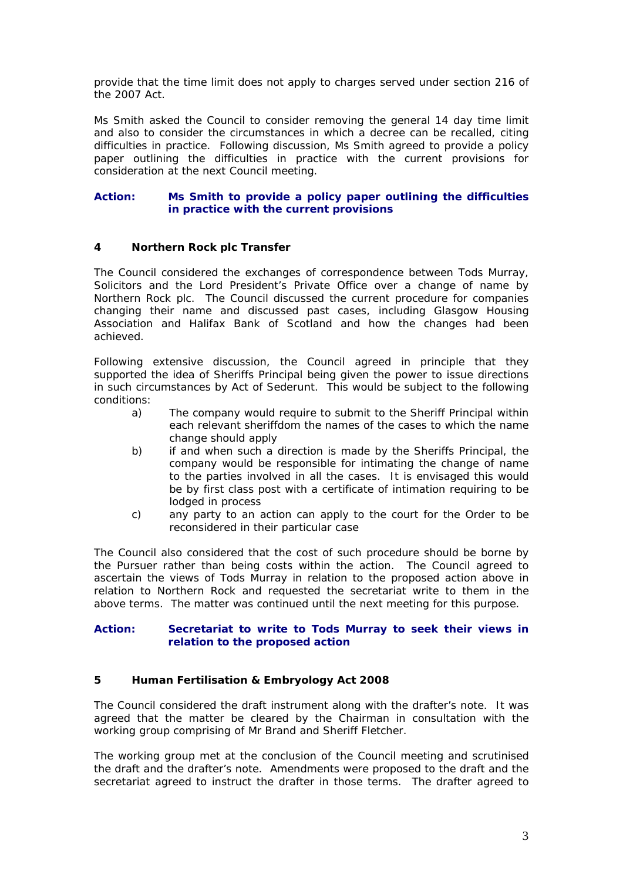provide that the time limit does not apply to charges served under section 216 of the 2007 Act.

Ms Smith asked the Council to consider removing the general 14 day time limit and also to consider the circumstances in which a decree can be recalled, citing difficulties in practice. Following discussion, Ms Smith agreed to provide a policy paper outlining the difficulties in practice with the current provisions for consideration at the next Council meeting.

## **Action: Ms Smith to provide a policy paper outlining the difficulties in practice with the current provisions**

# **4 Northern Rock plc Transfer**

The Council considered the exchanges of correspondence between Tods Murray, Solicitors and the Lord President's Private Office over a change of name by Northern Rock plc. The Council discussed the current procedure for companies changing their name and discussed past cases, including Glasgow Housing Association and Halifax Bank of Scotland and how the changes had been achieved.

Following extensive discussion, the Council agreed in principle that they supported the idea of Sheriffs Principal being given the power to issue directions in such circumstances by Act of Sederunt. This would be subject to the following conditions:

- a) The company would require to submit to the Sheriff Principal within each relevant sheriffdom the names of the cases to which the name change should apply
- b) if and when such a direction is made by the Sheriffs Principal, the company would be responsible for intimating the change of name to the parties involved in all the cases. It is envisaged this would be by first class post with a certificate of intimation requiring to be lodged in process
- c) any party to an action can apply to the court for the Order to be reconsidered in their particular case

The Council also considered that the cost of such procedure should be borne by the Pursuer rather than being costs within the action. The Council agreed to ascertain the views of Tods Murray in relation to the proposed action above in relation to Northern Rock and requested the secretariat write to them in the above terms. The matter was continued until the next meeting for this purpose.

# **Action: Secretariat to write to Tods Murray to seek their views in relation to the proposed action**

## **5 Human Fertilisation & Embryology Act 2008**

The Council considered the draft instrument along with the drafter's note. It was agreed that the matter be cleared by the Chairman in consultation with the working group comprising of Mr Brand and Sheriff Fletcher.

The working group met at the conclusion of the Council meeting and scrutinised the draft and the drafter's note. Amendments were proposed to the draft and the secretariat agreed to instruct the drafter in those terms. The drafter agreed to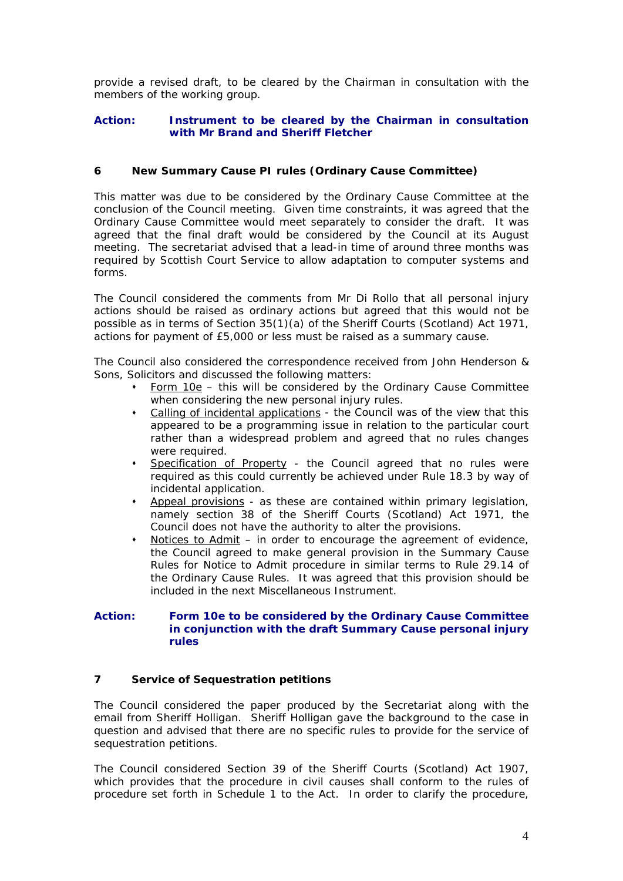provide a revised draft, to be cleared by the Chairman in consultation with the members of the working group.

## **Action: Instrument to be cleared by the Chairman in consultation with Mr Brand and Sheriff Fletcher**

# **6 New Summary Cause PI rules (Ordinary Cause Committee)**

This matter was due to be considered by the Ordinary Cause Committee at the conclusion of the Council meeting. Given time constraints, it was agreed that the Ordinary Cause Committee would meet separately to consider the draft. It was agreed that the final draft would be considered by the Council at its August meeting. The secretariat advised that a lead-in time of around three months was required by Scottish Court Service to allow adaptation to computer systems and forms.

The Council considered the comments from Mr Di Rollo that all personal injury actions should be raised as ordinary actions but agreed that this would not be possible as in terms of Section 35(1)(a) of the Sheriff Courts (Scotland) Act 1971, actions for payment of £5,000 or less must be raised as a summary cause.

The Council also considered the correspondence received from John Henderson & Sons, Solicitors and discussed the following matters:

- Form 10e this will be considered by the Ordinary Cause Committee when considering the new personal injury rules.
- Calling of incidental applications the Council was of the view that this appeared to be a programming issue in relation to the particular court rather than a widespread problem and agreed that no rules changes were required.
- Specification of Property the Council agreed that no rules were required as this could currently be achieved under Rule 18.3 by way of incidental application.
- Appeal provisions as these are contained within primary legislation, namely section 38 of the Sheriff Courts (Scotland) Act 1971, the Council does not have the authority to alter the provisions.
- Notices to Admit in order to encourage the agreement of evidence, the Council agreed to make general provision in the Summary Cause Rules for Notice to Admit procedure in similar terms to Rule 29.14 of the Ordinary Cause Rules. It was agreed that this provision should be included in the next Miscellaneous Instrument.

## **Action: Form 10e to be considered by the Ordinary Cause Committee in conjunction with the draft Summary Cause personal injury rules**

## **7 Service of Sequestration petitions**

The Council considered the paper produced by the Secretariat along with the email from Sheriff Holligan. Sheriff Holligan gave the background to the case in question and advised that there are no specific rules to provide for the service of sequestration petitions.

The Council considered Section 39 of the Sheriff Courts (Scotland) Act 1907, which provides that the procedure in civil causes shall conform to the rules of procedure set forth in Schedule 1 to the Act. In order to clarify the procedure,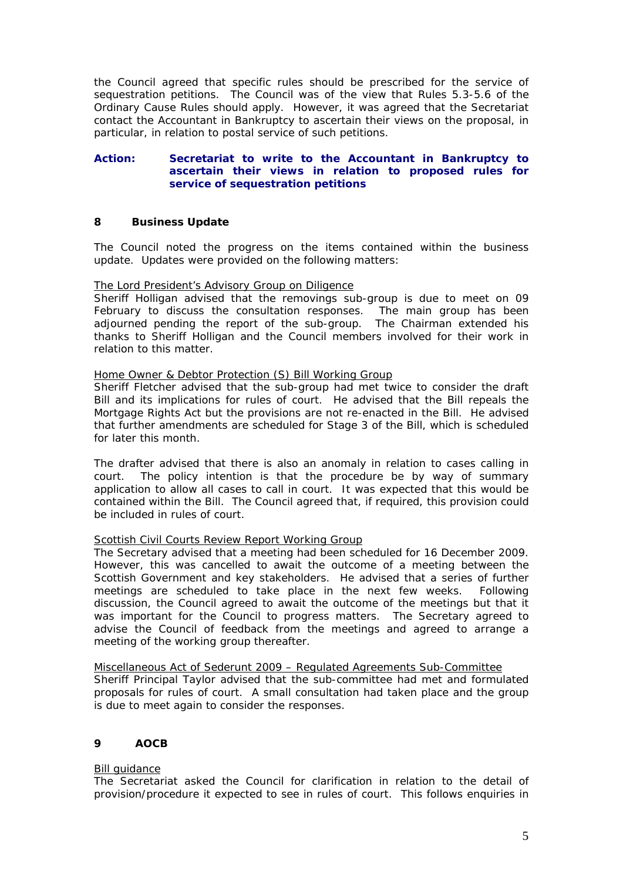the Council agreed that specific rules should be prescribed for the service of sequestration petitions. The Council was of the view that Rules 5.3-5.6 of the Ordinary Cause Rules should apply. However, it was agreed that the Secretariat contact the Accountant in Bankruptcy to ascertain their views on the proposal, in particular, in relation to postal service of such petitions.

#### **Action: Secretariat to write to the Accountant in Bankruptcy to ascertain their views in relation to proposed rules for service of sequestration petitions**

# **8 Business Update**

The Council noted the progress on the items contained within the business update. Updates were provided on the following matters:

## The Lord President's Advisory Group on Diligence

Sheriff Holligan advised that the removings sub-group is due to meet on 09 February to discuss the consultation responses. The main group has been adjourned pending the report of the sub-group. The Chairman extended his thanks to Sheriff Holligan and the Council members involved for their work in relation to this matter.

#### Home Owner & Debtor Protection (S) Bill Working Group

Sheriff Fletcher advised that the sub-group had met twice to consider the draft Bill and its implications for rules of court. He advised that the Bill repeals the Mortgage Rights Act but the provisions are not re-enacted in the Bill. He advised that further amendments are scheduled for Stage 3 of the Bill, which is scheduled for later this month.

The drafter advised that there is also an anomaly in relation to cases calling in court. The policy intention is that the procedure be by way of summary application to allow all cases to call in court. It was expected that this would be contained within the Bill. The Council agreed that, if required, this provision could be included in rules of court.

## Scottish Civil Courts Review Report Working Group

The Secretary advised that a meeting had been scheduled for 16 December 2009. However, this was cancelled to await the outcome of a meeting between the Scottish Government and key stakeholders. He advised that a series of further meetings are scheduled to take place in the next few weeks. Following discussion, the Council agreed to await the outcome of the meetings but that it was important for the Council to progress matters. The Secretary agreed to advise the Council of feedback from the meetings and agreed to arrange a meeting of the working group thereafter.

Miscellaneous Act of Sederunt 2009 – Regulated Agreements Sub-Committee Sheriff Principal Taylor advised that the sub-committee had met and formulated proposals for rules of court. A small consultation had taken place and the group is due to meet again to consider the responses.

## **9 AOCB**

#### Bill guidance

The Secretariat asked the Council for clarification in relation to the detail of provision/procedure it expected to see in rules of court. This follows enquiries in